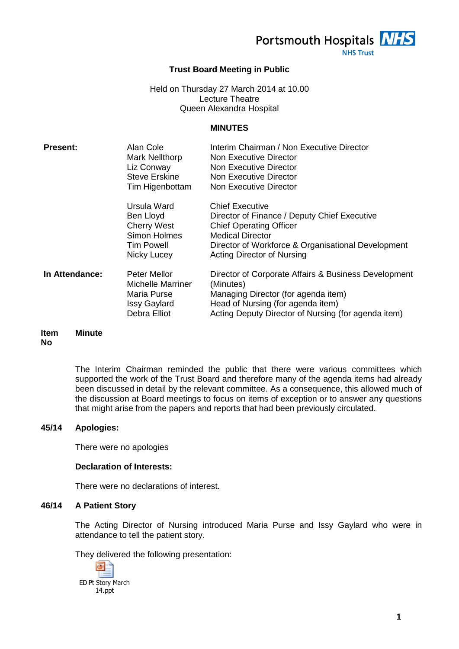Portsmouth Hospitals **NHS** 

**NHS Trust** 

## **Trust Board Meeting in Public**

## Held on Thursday 27 March 2014 at 10.00 Lecture Theatre Queen Alexandra Hospital

#### **MINUTES**

| <b>Present:</b> | Alan Cole<br><b>Mark Nellthorp</b><br>Liz Conway<br><b>Steve Erskine</b><br>Tim Higenbottam        | Interim Chairman / Non Executive Director<br>Non Executive Director<br>Non Executive Director<br>Non Executive Director<br>Non Executive Director                                                                              |
|-----------------|----------------------------------------------------------------------------------------------------|--------------------------------------------------------------------------------------------------------------------------------------------------------------------------------------------------------------------------------|
|                 | Ursula Ward<br>Ben Lloyd<br><b>Cherry West</b><br>Simon Holmes<br><b>Tim Powell</b><br>Nicky Lucey | <b>Chief Executive</b><br>Director of Finance / Deputy Chief Executive<br><b>Chief Operating Officer</b><br><b>Medical Director</b><br>Director of Workforce & Organisational Development<br><b>Acting Director of Nursing</b> |
| In Attendance:  | Peter Mellor<br>Michelle Marriner<br>Maria Purse<br><b>Issy Gaylard</b><br>Debra Elliot            | Director of Corporate Affairs & Business Development<br>(Minutes)<br>Managing Director (for agenda item)<br>Head of Nursing (for agenda item)<br>Acting Deputy Director of Nursing (for agenda item)                           |

#### **Item No Minute**

The Interim Chairman reminded the public that there were various committees which supported the work of the Trust Board and therefore many of the agenda items had already been discussed in detail by the relevant committee. As a consequence, this allowed much of the discussion at Board meetings to focus on items of exception or to answer any questions that might arise from the papers and reports that had been previously circulated.

## **45/14 Apologies:**

There were no apologies

#### **Declaration of Interests:**

There were no declarations of interest.

# **46/14 A Patient Story**

The Acting Director of Nursing introduced Maria Purse and Issy Gaylard who were in attendance to tell the patient story.

They delivered the following presentation:

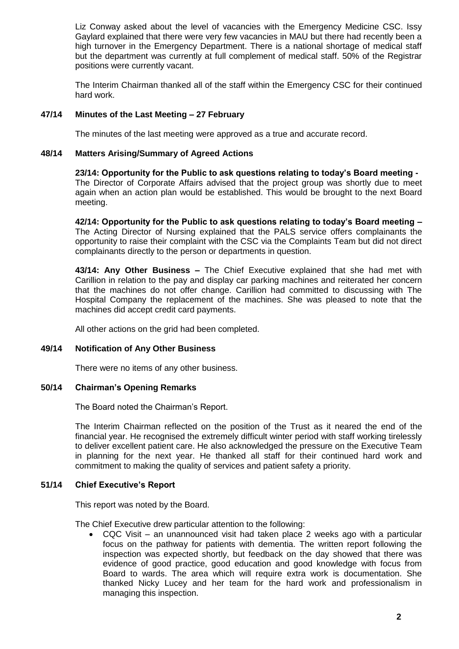Liz Conway asked about the level of vacancies with the Emergency Medicine CSC. Issy Gaylard explained that there were very few vacancies in MAU but there had recently been a high turnover in the Emergency Department. There is a national shortage of medical staff but the department was currently at full complement of medical staff. 50% of the Registrar positions were currently vacant.

The Interim Chairman thanked all of the staff within the Emergency CSC for their continued hard work.

## **47/14 Minutes of the Last Meeting – 27 February**

The minutes of the last meeting were approved as a true and accurate record.

## **48/14 Matters Arising/Summary of Agreed Actions**

**23/14: Opportunity for the Public to ask questions relating to today's Board meeting -** The Director of Corporate Affairs advised that the project group was shortly due to meet again when an action plan would be established. This would be brought to the next Board meeting.

**42/14: Opportunity for the Public to ask questions relating to today's Board meeting –** The Acting Director of Nursing explained that the PALS service offers complainants the opportunity to raise their complaint with the CSC via the Complaints Team but did not direct complainants directly to the person or departments in question.

**43/14: Any Other Business –** The Chief Executive explained that she had met with Carillion in relation to the pay and display car parking machines and reiterated her concern that the machines do not offer change. Carillion had committed to discussing with The Hospital Company the replacement of the machines. She was pleased to note that the machines did accept credit card payments.

All other actions on the grid had been completed.

#### **49/14 Notification of Any Other Business**

There were no items of any other business.

#### **50/14 Chairman's Opening Remarks**

The Board noted the Chairman's Report.

The Interim Chairman reflected on the position of the Trust as it neared the end of the financial year. He recognised the extremely difficult winter period with staff working tirelessly to deliver excellent patient care. He also acknowledged the pressure on the Executive Team in planning for the next year. He thanked all staff for their continued hard work and commitment to making the quality of services and patient safety a priority.

## **51/14 Chief Executive's Report**

This report was noted by the Board.

The Chief Executive drew particular attention to the following:

 CQC Visit – an unannounced visit had taken place 2 weeks ago with a particular focus on the pathway for patients with dementia. The written report following the inspection was expected shortly, but feedback on the day showed that there was evidence of good practice, good education and good knowledge with focus from Board to wards. The area which will require extra work is documentation. She thanked Nicky Lucey and her team for the hard work and professionalism in managing this inspection.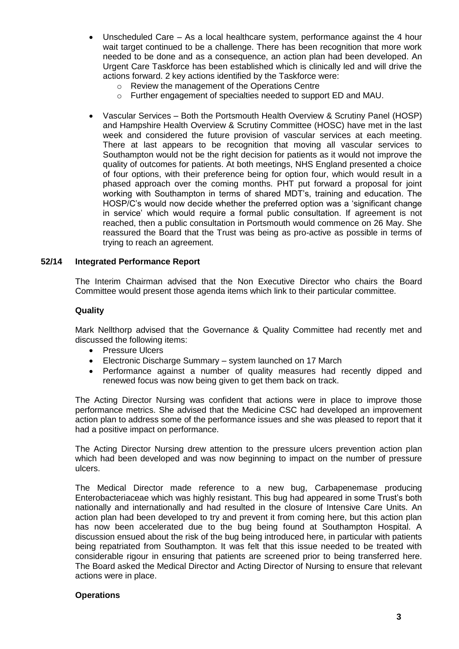- Unscheduled Care As a local healthcare system, performance against the 4 hour wait target continued to be a challenge. There has been recognition that more work needed to be done and as a consequence, an action plan had been developed. An Urgent Care Taskforce has been established which is clinically led and will drive the actions forward. 2 key actions identified by the Taskforce were:
	- o Review the management of the Operations Centre
	- o Further engagement of specialties needed to support ED and MAU.
- Vascular Services Both the Portsmouth Health Overview & Scrutiny Panel (HOSP) and Hampshire Health Overview & Scrutiny Committee (HOSC) have met in the last week and considered the future provision of vascular services at each meeting. There at last appears to be recognition that moving all vascular services to Southampton would not be the right decision for patients as it would not improve the quality of outcomes for patients. At both meetings, NHS England presented a choice of four options, with their preference being for option four, which would result in a phased approach over the coming months. PHT put forward a proposal for joint working with Southampton in terms of shared MDT's, training and education. The HOSP/C's would now decide whether the preferred option was a 'significant change in service' which would require a formal public consultation. If agreement is not reached, then a public consultation in Portsmouth would commence on 26 May. She reassured the Board that the Trust was being as pro-active as possible in terms of trying to reach an agreement.

#### **52/14 Integrated Performance Report**

The Interim Chairman advised that the Non Executive Director who chairs the Board Committee would present those agenda items which link to their particular committee.

## **Quality**

Mark Nellthorp advised that the Governance & Quality Committee had recently met and discussed the following items:

- Pressure Ulcers
- Electronic Discharge Summary system launched on 17 March
- Performance against a number of quality measures had recently dipped and renewed focus was now being given to get them back on track.

The Acting Director Nursing was confident that actions were in place to improve those performance metrics. She advised that the Medicine CSC had developed an improvement action plan to address some of the performance issues and she was pleased to report that it had a positive impact on performance.

The Acting Director Nursing drew attention to the pressure ulcers prevention action plan which had been developed and was now beginning to impact on the number of pressure ulcers.

The Medical Director made reference to a new bug, Carbapenemase producing Enterobacteriaceae which was highly resistant. This bug had appeared in some Trust's both nationally and internationally and had resulted in the closure of Intensive Care Units. An action plan had been developed to try and prevent it from coming here, but this action plan has now been accelerated due to the bug being found at Southampton Hospital. A discussion ensued about the risk of the bug being introduced here, in particular with patients being repatriated from Southampton. It was felt that this issue needed to be treated with considerable rigour in ensuring that patients are screened prior to being transferred here. The Board asked the Medical Director and Acting Director of Nursing to ensure that relevant actions were in place.

#### **Operations**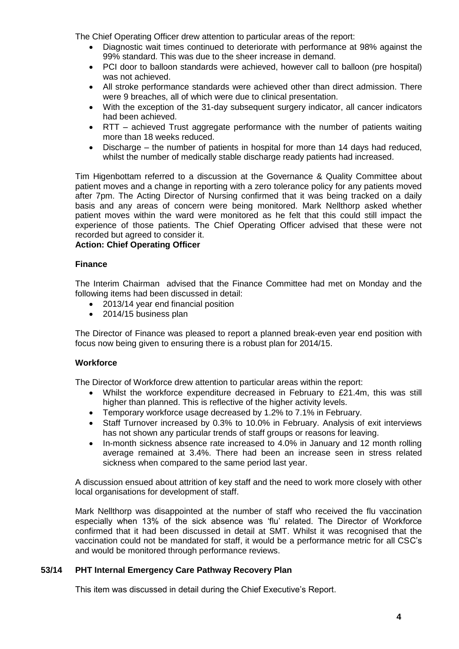The Chief Operating Officer drew attention to particular areas of the report:

- Diagnostic wait times continued to deteriorate with performance at 98% against the 99% standard. This was due to the sheer increase in demand.
- PCI door to balloon standards were achieved, however call to balloon (pre hospital) was not achieved.
- All stroke performance standards were achieved other than direct admission. There were 9 breaches, all of which were due to clinical presentation.
- With the exception of the 31-day subsequent surgery indicator, all cancer indicators had been achieved.
- RTT achieved Trust aggregate performance with the number of patients waiting more than 18 weeks reduced.
- Discharge the number of patients in hospital for more than 14 days had reduced, whilst the number of medically stable discharge ready patients had increased.

Tim Higenbottam referred to a discussion at the Governance & Quality Committee about patient moves and a change in reporting with a zero tolerance policy for any patients moved after 7pm. The Acting Director of Nursing confirmed that it was being tracked on a daily basis and any areas of concern were being monitored. Mark Nellthorp asked whether patient moves within the ward were monitored as he felt that this could still impact the experience of those patients. The Chief Operating Officer advised that these were not recorded but agreed to consider it.

**Action: Chief Operating Officer**

## **Finance**

The Interim Chairman advised that the Finance Committee had met on Monday and the following items had been discussed in detail:

- 2013/14 year end financial position
- 2014/15 business plan

The Director of Finance was pleased to report a planned break-even year end position with focus now being given to ensuring there is a robust plan for 2014/15.

## **Workforce**

The Director of Workforce drew attention to particular areas within the report:

- Whilst the workforce expenditure decreased in February to £21.4m, this was still higher than planned. This is reflective of the higher activity levels.
- Temporary workforce usage decreased by 1.2% to 7.1% in February.
- Staff Turnover increased by 0.3% to 10.0% in February. Analysis of exit interviews has not shown any particular trends of staff groups or reasons for leaving.
- In-month sickness absence rate increased to 4.0% in January and 12 month rolling average remained at 3.4%. There had been an increase seen in stress related sickness when compared to the same period last year.

A discussion ensued about attrition of key staff and the need to work more closely with other local organisations for development of staff.

Mark Nellthorp was disappointed at the number of staff who received the flu vaccination especially when 13% of the sick absence was 'flu' related. The Director of Workforce confirmed that it had been discussed in detail at SMT. Whilst it was recognised that the vaccination could not be mandated for staff, it would be a performance metric for all CSC's and would be monitored through performance reviews.

## **53/14 PHT Internal Emergency Care Pathway Recovery Plan**

This item was discussed in detail during the Chief Executive's Report.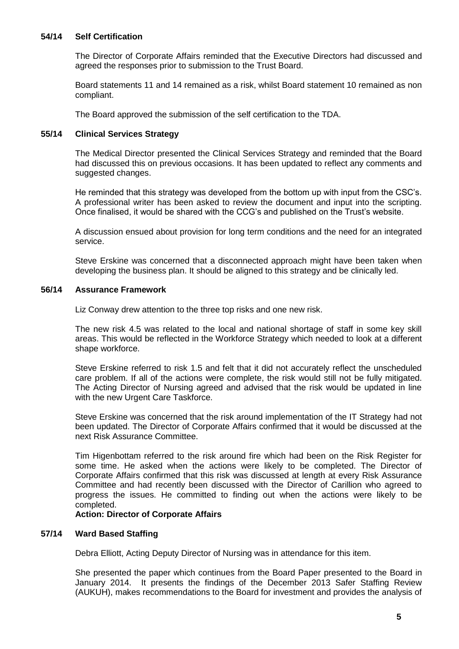## **54/14 Self Certification**

The Director of Corporate Affairs reminded that the Executive Directors had discussed and agreed the responses prior to submission to the Trust Board.

Board statements 11 and 14 remained as a risk, whilst Board statement 10 remained as non compliant.

The Board approved the submission of the self certification to the TDA.

## **55/14 Clinical Services Strategy**

The Medical Director presented the Clinical Services Strategy and reminded that the Board had discussed this on previous occasions. It has been updated to reflect any comments and suggested changes.

He reminded that this strategy was developed from the bottom up with input from the CSC's. A professional writer has been asked to review the document and input into the scripting. Once finalised, it would be shared with the CCG's and published on the Trust's website.

A discussion ensued about provision for long term conditions and the need for an integrated service.

Steve Erskine was concerned that a disconnected approach might have been taken when developing the business plan. It should be aligned to this strategy and be clinically led.

## **56/14 Assurance Framework**

Liz Conway drew attention to the three top risks and one new risk.

The new risk 4.5 was related to the local and national shortage of staff in some key skill areas. This would be reflected in the Workforce Strategy which needed to look at a different shape workforce.

Steve Erskine referred to risk 1.5 and felt that it did not accurately reflect the unscheduled care problem. If all of the actions were complete, the risk would still not be fully mitigated. The Acting Director of Nursing agreed and advised that the risk would be updated in line with the new Urgent Care Taskforce.

Steve Erskine was concerned that the risk around implementation of the IT Strategy had not been updated. The Director of Corporate Affairs confirmed that it would be discussed at the next Risk Assurance Committee.

Tim Higenbottam referred to the risk around fire which had been on the Risk Register for some time. He asked when the actions were likely to be completed. The Director of Corporate Affairs confirmed that this risk was discussed at length at every Risk Assurance Committee and had recently been discussed with the Director of Carillion who agreed to progress the issues. He committed to finding out when the actions were likely to be completed.

#### **Action: Director of Corporate Affairs**

## **57/14 Ward Based Staffing**

Debra Elliott, Acting Deputy Director of Nursing was in attendance for this item.

She presented the paper which continues from the Board Paper presented to the Board in January 2014. It presents the findings of the December 2013 Safer Staffing Review (AUKUH), makes recommendations to the Board for investment and provides the analysis of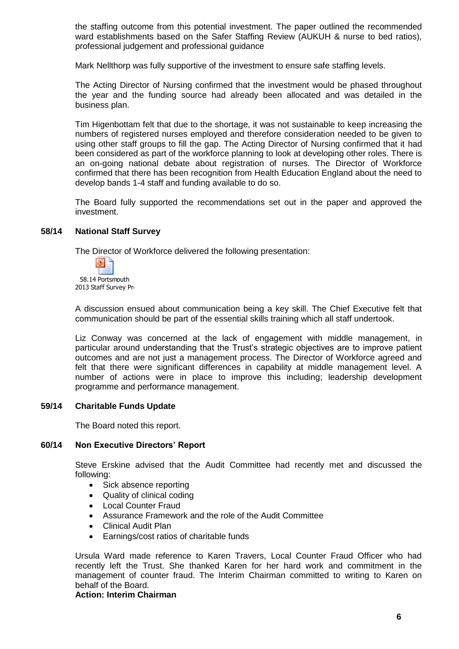the staffing outcome from this potential investment. The paper outlined the recommended ward establishments based on the Safer Staffing Review (AUKUH & nurse to bed ratios), professional judgement and professional guidance

Mark Nellthorp was fully supportive of the investment to ensure safe staffing levels.

The Acting Director of Nursing confirmed that the investment would be phased throughout the year and the funding source had already been allocated and was detailed in the business plan.

Tim Higenbottam felt that due to the shortage, it was not sustainable to keep increasing the numbers of registered nurses employed and therefore consideration needed to be given to using other staff groups to fill the gap. The Acting Director of Nursing confirmed that it had been considered as part of the workforce planning to look at developing other roles. There is an on-going national debate about registration of nurses. The Director of Workforce confirmed that there has been recognition from Health Education England about the need to develop bands 1-4 staff and funding available to do so.

The Board fully supported the recommendations set out in the paper and approved the investment.

#### **58/14 National Staff Survey**

The Director of Workforce delivered the following presentation:



A discussion ensued about communication being a key skill. The Chief Executive felt that communication should be part of the essential skills training which all staff undertook.

Liz Conway was concerned at the lack of engagement with middle management, in particular around understanding that the Trust's strategic objectives are to improve patient outcomes and are not just a management process. The Director of Workforce agreed and felt that there were significant differences in capability at middle management level. A number of actions were in place to improve this including; leadership development programme and performance management.

#### **59/14 Charitable Funds Update**

The Board noted this report.

#### **60/14 Non Executive Directors' Report**

Steve Erskine advised that the Audit Committee had recently met and discussed the following:

- Sick absence reporting
- Quality of clinical coding
- Local Counter Fraud
- Assurance Framework and the role of the Audit Committee
- Clinical Audit Plan
- Earnings/cost ratios of charitable funds

Ursula Ward made reference to Karen Travers, Local Counter Fraud Officer who had recently left the Trust. She thanked Karen for her hard work and commitment in the management of counter fraud. The Interim Chairman committed to writing to Karen on behalf of the Board.

**Action: Interim Chairman**